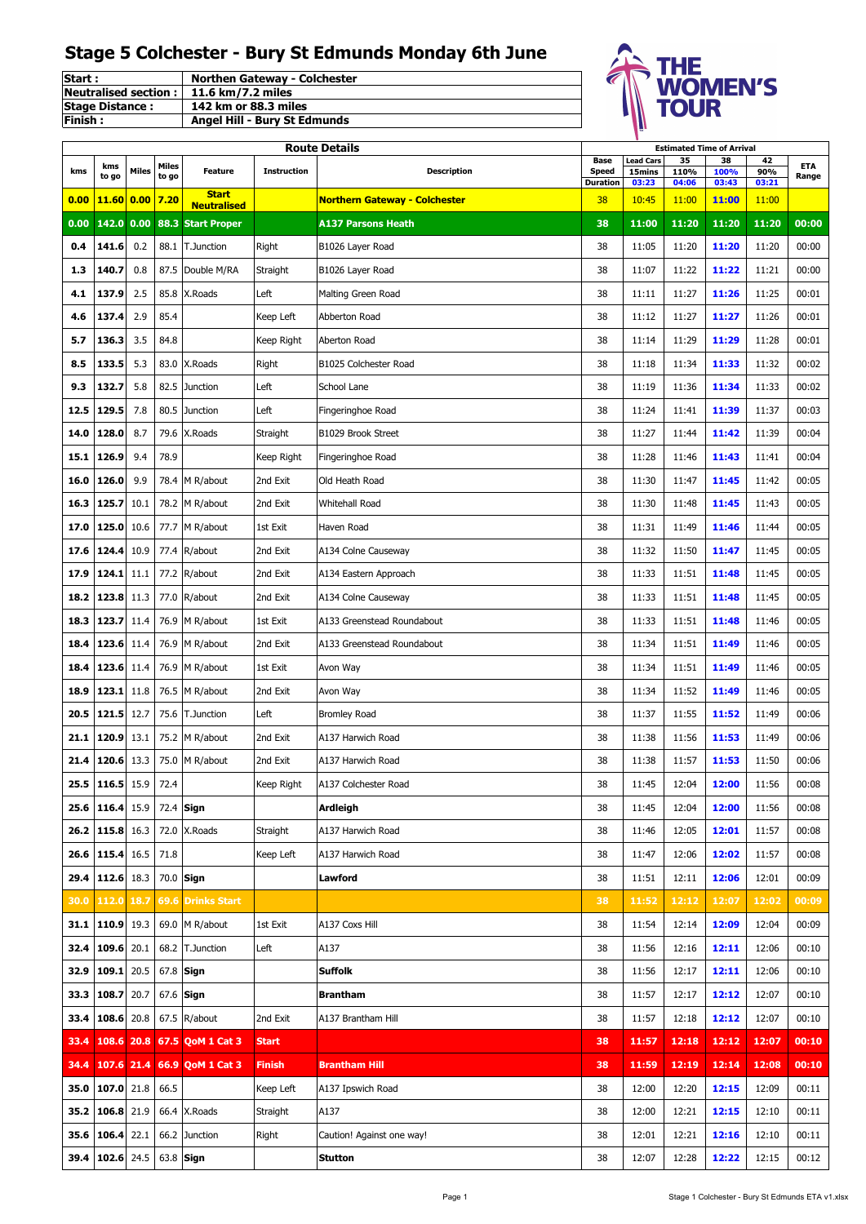| Start:                 | <b>Northen Gateway - Colchester</b> |
|------------------------|-------------------------------------|
| Neutralised section:   | 11.6 km/7.2 miles                   |
| <b>Stage Distance:</b> | 142 km or 88.3 miles                |
| <b>IFinish:</b>        | <b>Angel Hill - Bury St Edmunds</b> |



|      |              |       |                |                                                    |                    | <b>Route Details</b>                 |                      |                            | <b>Estimated Time of Arrival</b> |                |                |              |
|------|--------------|-------|----------------|----------------------------------------------------|--------------------|--------------------------------------|----------------------|----------------------------|----------------------------------|----------------|----------------|--------------|
| kms  | kms<br>to go | Miles | Miles<br>to go | <b>Feature</b>                                     | <b>Instruction</b> | <b>Description</b>                   | Base<br><b>Speed</b> | <b>Lead Cars</b><br>15mins | 35<br>110%                       | 38<br>100%     | 42<br>90%      | ETA<br>Range |
| 0.00 | 11.60        | 0.00  | 7.20           | <b>Start</b>                                       |                    | <b>Northern Gateway - Colchester</b> | Duration<br>38       | 03:23<br>10:45             | 04:06<br>11:00                   | 03:43<br>11:00 | 03:21<br>11:00 |              |
| 0.00 |              |       |                | <b>Neutralised</b><br>142.0 0.00 88.3 Start Proper |                    | <b>A137 Parsons Heath</b>            | 38                   | 11:00                      | 11:20                            | 11:20          | 11:20          | 00:00        |
| 0.4  | 141.6        | 0.2   | 88.1           | T.Junction                                         | Right              | B1026 Layer Road                     | 38                   | 11:05                      | 11:20                            | 11:20          | 11:20          | 00:00        |
| 1.3  | 140.7        | 0.8   | 87.5           | Double M/RA                                        | Straight           | B1026 Layer Road                     | 38                   | 11:07                      | 11:22                            | 11:22          | 11:21          | 00:00        |
| 4.1  | 137.9        | 2.5   | 85.8           | X.Roads                                            | Left               | Malting Green Road                   | 38                   | 11:11                      | 11:27                            | 11:26          | 11:25          | 00:01        |
| 4.6  | 137.4        | 2.9   | 85.4           |                                                    | Keep Left          | Abberton Road                        | 38                   | 11:12                      | 11:27                            | 11:27          | 11:26          | 00:01        |
| 5.7  | 136.3        | 3.5   | 84.8           |                                                    | Keep Right         | Aberton Road                         | 38                   | 11:14                      | 11:29                            | 11:29          | 11:28          | 00:01        |
| 8.5  | 133.5        | 5.3   | 83.0           | X.Roads                                            | Right              | B1025 Colchester Road                | 38                   | 11:18                      | 11:34                            | 11:33          | 11:32          | 00:02        |
| 9.3  | 132.7        | 5.8   | 82.5           | Junction                                           | Left               | School Lane                          | 38                   | 11:19                      | 11:36                            | 11:34          | 11:33          | 00:02        |
| 12.5 | 129.5        | 7.8   | 80.5           | <b>Junction</b>                                    | Left               | Fingeringhoe Road                    | 38                   | 11:24                      | 11:41                            | 11:39          | 11:37          | 00:03        |
| 14.0 | 128.0        | 8.7   | 79.6           | X.Roads                                            | Straight           | B1029 Brook Street                   | 38                   | 11:27                      | 11:44                            | 11:42          | 11:39          | 00:04        |
| 15.1 | 126.9        | 9.4   | 78.9           |                                                    | Keep Right         | Fingeringhoe Road                    | 38                   | 11:28                      | 11:46                            | 11:43          | 11:41          | 00:04        |
| 16.0 | 126.0        | 9.9   | 78.4           | M R/about                                          | 2nd Exit           | Old Heath Road                       | 38                   | 11:30                      | 11:47                            | 11:45          | 11:42          | 00:05        |
| 16.3 | 125.7        | 10.1  | 78.2           | M R/about                                          | 2nd Exit           | Whitehall Road                       | 38                   | 11:30                      | 11:48                            | 11:45          | 11:43          | 00:05        |
| 17.0 | 125.0        | 10.6  | 77.7           | M R/about                                          | 1st Exit           | Haven Road                           | 38                   | 11:31                      | 11:49                            | 11:46          | 11:44          | 00:05        |
| 17.6 | 124.4        | 10.9  | 77.4           | R/about                                            | 2nd Exit           | A134 Colne Causeway                  | 38                   | 11:32                      | 11:50                            | 11:47          | 11:45          | 00:05        |
| 17.9 | 124.1        | 11.1  | 77.2           | R/about                                            | 2nd Exit           | A134 Eastern Approach                | 38                   | 11:33                      | 11:51                            | 11:48          | 11:45          | 00:05        |
| 18.2 | 123.8        | 11.3  | 77.0           | R/about                                            | 2nd Exit           | A134 Colne Causeway                  | 38                   | 11:33                      | 11:51                            | 11:48          | 11:45          | 00:05        |
| 18.3 | 123.7        | 11.4  | 76.9           | M R/about                                          | 1st Exit           | A133 Greenstead Roundabout           | 38                   | 11:33                      | 11:51                            | 11:48          | 11:46          | 00:05        |
| 18.4 | 123.6        | 11.4  | 76.9           | M R/about                                          | 2nd Exit           | A133 Greenstead Roundabout           | 38                   | 11:34                      | 11:51                            | 11:49          | 11:46          | 00:05        |
| 18.4 | 123.6        | 11.4  | 76.9           | M R/about                                          | 1st Exit           | Avon Way                             | 38                   | 11:34                      | 11:51                            | 11:49          | 11:46          | 00:05        |
| 18.9 | 123.1        | 11.8  | 76.5           | M R/about                                          | 2nd Exit           | Avon Way                             | 38                   | 11:34                      | 11:52                            | 11:49          | 11:46          | 00:05        |
| 20.5 | 121.5        | 12.7  | 75.6           | T.Junction                                         | Left               | <b>Bromley Road</b>                  | 38                   | 11:37                      | 11:55                            | 11:52          | 11:49          | 00:06        |
| 21.1 | 120.9        | 13.1  | 75.2           | M R/about                                          | 2nd Exit           | A137 Harwich Road                    | 38                   | 11:38                      | 11:56                            | 11:53          | 11:49          | 00:06        |
| 21.4 | 120.6        | 13.3  | 75.0           | M R/about                                          | 2nd Exit           | A137 Harwich Road                    | 38                   | 11:38                      | 11:57                            | 11:53          | 11:50          | 00:06        |
| 25.5 | 116.5        | 15.9  | 72.4           |                                                    | Keep Right         | A137 Colchester Road                 | 38                   | 11:45                      | 12:04                            | 12:00          | 11:56          | 00:08        |
| 25.6 | 116.4        | 15.9  | 72.4           | Sign                                               |                    | <b>Ardleigh</b>                      | 38                   | 11:45                      | 12:04                            | 12:00          | 11:56          | 00:08        |
| 26.2 | 115.8        | 16.3  | 72.0           | X.Roads                                            | Straight           | A137 Harwich Road                    | 38                   | 11:46                      | 12:05                            | 12:01          | 11:57          | 00:08        |
| 26.6 | 115.4        | 16.5  | 71.8           |                                                    | Keep Left          | A137 Harwich Road                    | 38                   | 11:47                      | 12:06                            | 12:02          | 11:57          | 00:08        |
| 29.4 | 112.6        | 18.3  | 70.0           | Sign                                               |                    | Lawford                              | 38                   | 11:51                      | 12:11                            | 12:06          | 12:01          | 00:09        |
| 30.0 | 112.0        | 18.7  | 69.6           | <b>Drinks Start</b>                                |                    |                                      | 38                   | 11:52                      | 12:12                            | 12:07          | 12:02          | 00:09        |
|      | 31.1 110.9   | 19.3  | 69.0           | M R/about                                          | 1st Exit           | A137 Coxs Hill                       | 38                   | 11:54                      | 12:14                            | 12:09          | 12:04          | 00:09        |
| 32.4 | 109.6        | 20.1  | 68.2           | <b>T.Junction</b>                                  | Left               | A137                                 | 38                   | 11:56                      | 12:16                            | 12:11          | 12:06          | 00:10        |
| 32.9 | 109.1        | 20.5  | 67.8           | Sign                                               |                    | <b>Suffolk</b>                       | 38                   | 11:56                      | 12:17                            | 12:11          | 12:06          | 00:10        |
| 33.3 | 108.7        | 20.7  | 67.6           | Sign                                               |                    | <b>Brantham</b>                      | 38                   | 11:57                      | 12:17                            | 12:12          | 12:07          | 00:10        |
| 33.4 | 108.6        | 20.8  | 67.5           | R/about                                            | 2nd Exit           | A137 Brantham Hill                   | 38                   | 11:57                      | 12:18                            | 12:12          | 12:07          | 00:10        |
| 33.4 | 108.6        | 20.8  |                | 67.5 QoM 1 Cat 3                                   | <b>Start</b>       |                                      | 38                   | 11:57                      | 12:18                            | 12:12          | 12:07          | 00:10        |
| 34.4 | 107.6        | 21.4  |                | 66.9 QoM 1 Cat 3                                   | <b>Finish</b>      | Brantham Hill                        | 38                   | 11:59                      | 12:19                            | 12:14          | 12:08          | 00:10        |
| 35.0 | 107.0        | 21.8  | 66.5           |                                                    | Keep Left          | A137 Ipswich Road                    | 38                   | 12:00                      | 12:20                            | 12:15          | 12:09          | 00:11        |
|      | 35.2 106.8   | 21.9  | 66.4           | X.Roads                                            | Straight           | A137                                 | 38                   | 12:00                      | 12:21                            | 12:15          | 12:10          | 00:11        |
| 35.6 | 106.4        | 22.1  | 66.2           | Junction                                           | Right              | Caution! Against one way!            | 38                   | 12:01                      | 12:21                            | 12:16          | 12:10          | 00:11        |
| 39.4 | 102.6        | 24.5  | 63.8           | Sign                                               |                    | <b>Stutton</b>                       | 38                   | 12:07                      | 12:28                            | 12:22          | 12:15          | 00:12        |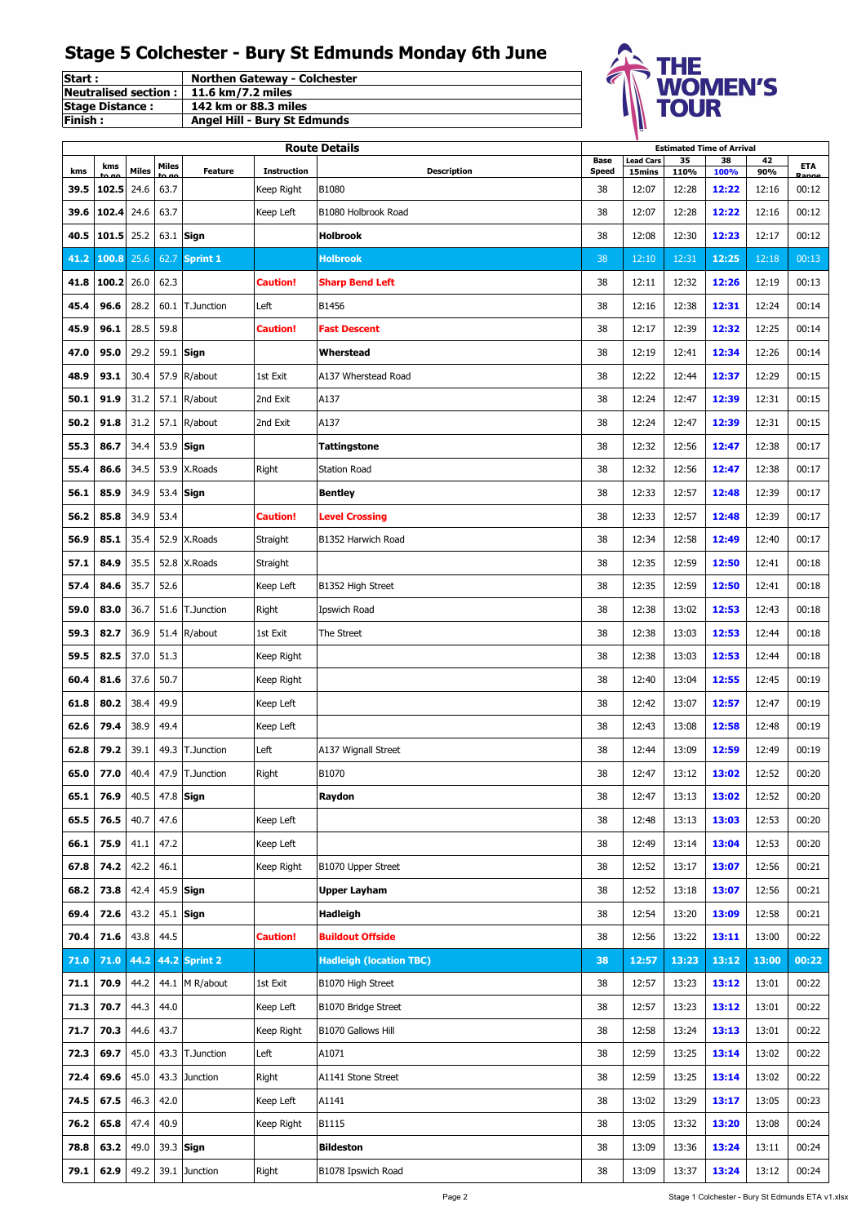| <b>Start:</b>                             | <b>Northen Gateway - Colchester</b> |
|-------------------------------------------|-------------------------------------|
| Neutralised section :   11.6 km/7.2 miles |                                     |
| <b>Stage Distance:</b>                    | 142 km or 88.3 miles                |
| lFinish :                                 | <b>Angel Hill - Bury St Edmunds</b> |



|             |       |              |       |                   |                    | <b>Route Details</b>           | <b>Estimated Time of Arrival</b> |                            |            |            |           |       |
|-------------|-------|--------------|-------|-------------------|--------------------|--------------------------------|----------------------------------|----------------------------|------------|------------|-----------|-------|
|             | kms   | <b>Miles</b> | Miles | <b>Feature</b>    | <b>Instruction</b> | <b>Description</b>             | Base<br><b>Speed</b>             | <b>Lead Cars</b><br>15mins | 35<br>110% | 38<br>100% | 42<br>90% | ETA   |
| kms<br>39.5 | 102.5 | 24.6         | 63.7  |                   | Keep Right         | B1080                          | 38                               | 12:07                      | 12:28      | 12:22      | 12:16     | 00:12 |
| 39.6        | 102.4 | 24.6         | 63.7  |                   | Keep Left          | B1080 Holbrook Road            | 38                               | 12:07                      | 12:28      | 12:22      | 12:16     | 00:12 |
| 40.5        | 101.5 | 25.2         | 63.1  | Sign              |                    | <b>Holbrook</b>                | 38                               | 12:08                      | 12:30      | 12:23      | 12:17     | 00:12 |
| 41.2        | 100.8 | 25.6         | 62.7  | <b>Sprint 1</b>   |                    | <b>Holbrook</b>                | 38                               | 12:10                      | 12:31      | 12:25      | 12:18     | 00:13 |
| 41.8        | 100.2 | 26.0         | 62.3  |                   | <b>Caution!</b>    | <b>Sharp Bend Left</b>         | 38                               | 12:11                      | 12:32      | 12:26      | 12:19     | 00:13 |
| 45.4        | 96.6  | 28.2         | 60.1  | T.Junction        | Left               | B1456                          | 38                               | 12:16                      | 12:38      | 12:31      | 12:24     | 00:14 |
| 45.9        | 96.1  | 28.5         | 59.8  |                   | <b>Caution!</b>    | <b>Fast Descent</b>            | 38                               | 12:17                      | 12:39      | 12:32      | 12:25     | 00:14 |
| 47.0        | 95.0  | 29.2         | 59.1  | Sign              |                    | Wherstead                      | 38                               | 12:19                      | 12:41      | 12:34      | 12:26     | 00:14 |
| 48.9        | 93.1  | 30.4         | 57.9  | R/about           | 1st Exit           | A137 Wherstead Road            | 38                               | 12:22                      | 12:44      | 12:37      | 12:29     | 00:15 |
| 50.1        | 91.9  | 31.2         | 57.1  | R/about           | 2nd Exit           | A137                           | 38                               | 12:24                      | 12:47      | 12:39      | 12:31     | 00:15 |
| 50.2        | 91.8  | 31.2         | 57.1  | R/about           | 2nd Exit           | A137                           | 38                               | 12:24                      | 12:47      | 12:39      | 12:31     | 00:15 |
| 55.3        | 86.7  | 34.4         | 53.9  | Sign              |                    | <b>Tattingstone</b>            | 38                               | 12:32                      | 12:56      | 12:47      | 12:38     | 00:17 |
| 55.4        | 86.6  | 34.5         | 53.9  | X.Roads           | Right              | <b>Station Road</b>            | 38                               | 12:32                      | 12:56      | 12:47      | 12:38     | 00:17 |
| 56.1        | 85.9  | 34.9         | 53.4  | Sign              |                    | <b>Bentley</b>                 | 38                               | 12:33                      | 12:57      | 12:48      | 12:39     | 00:17 |
| 56.2        | 85.8  | 34.9         | 53.4  |                   | <b>Caution!</b>    | <b>Level Crossing</b>          | 38                               | 12:33                      | 12:57      | 12:48      | 12:39     | 00:17 |
| 56.9        | 85.1  | 35.4         | 52.9  | X.Roads           | Straight           | B1352 Harwich Road             | 38                               | 12:34                      | 12:58      | 12:49      | 12:40     | 00:17 |
| 57.1        | 84.9  | 35.5         | 52.8  | X.Roads           | Straight           |                                | 38                               | 12:35                      | 12:59      | 12:50      | 12:41     | 00:18 |
| 57.4        | 84.6  | 35.7         | 52.6  |                   | Keep Left          | B1352 High Street              | 38                               | 12:35                      | 12:59      | 12:50      | 12:41     | 00:18 |
| 59.0        | 83.0  | 36.7         | 51.6  | <b>T.Junction</b> | Right              | Ipswich Road                   | 38                               | 12:38                      | 13:02      | 12:53      | 12:43     | 00:18 |
| 59.3        | 82.7  | 36.9         | 51.4  | R/about           | 1st Exit           | The Street                     | 38                               | 12:38                      | 13:03      | 12:53      | 12:44     | 00:18 |
| 59.5        | 82.5  | 37.0         | 51.3  |                   | Keep Right         |                                | 38                               | 12:38                      | 13:03      | 12:53      | 12:44     | 00:18 |
| 60.4        | 81.6  | 37.6         | 50.7  |                   | Keep Right         |                                | 38                               | 12:40                      | 13:04      | 12:55      | 12:45     | 00:19 |
| 61.8        | 80.2  | 38.4         | 49.9  |                   | Keep Left          |                                | 38                               | 12:42                      | 13:07      | 12:57      | 12:47     | 00:19 |
| 62.6        | 79.4  | 38.9         | 49.4  |                   | Keep Left          |                                | 38                               | 12:43                      | 13:08      | 12:58      | 12:48     | 00:19 |
| 62.8        | 79.2  | 39.1         | 49.3  | T.Junction        | Left               | A137 Wignall Street            | 38                               | 12:44                      | 13:09      | 12:59      | 12:49     | 00:19 |
| 65.0        | 77.0  | 40.4         | 47.9  | <b>T.Junction</b> | Right              | B1070                          | 38                               | 12:47                      | 13:12      | 13:02      | 12:52     | 00:20 |
| 65.1        | 76.9  | 40.5         |       | 47.8 Sign         |                    | Raydon                         | 38                               | 12:47                      | 13:13      | 13:02      | 12:52     | 00:20 |
| 65.5        | 76.5  | 40.7         | 47.6  |                   | Keep Left          |                                | 38                               | 12:48                      | 13:13      | 13:03      | 12:53     | 00:20 |
| 66.1        | 75.9  | 41.1         | 47.2  |                   | Keep Left          |                                | 38                               | 12:49                      | 13:14      | 13:04      | 12:53     | 00:20 |
| 67.8        | 74.2  | 42.2         | 46.1  |                   | Keep Right         | B1070 Upper Street             | 38                               | 12:52                      | 13:17      | 13:07      | 12:56     | 00:21 |
| 68.2        | 73.8  | 42.4         | 45.9  | Sign              |                    | <b>Upper Layham</b>            | 38                               | 12:52                      | 13:18      | 13:07      | 12:56     | 00:21 |
| 69.4        | 72.6  | 43.2         | 45.1  | Sign              |                    | Hadleigh                       | 38                               | 12:54                      | 13:20      | 13:09      | 12:58     | 00:21 |
| 70.4        | 71.6  | 43.8         | 44.5  |                   | <b>Caution!</b>    | <b>Buildout Offside</b>        | 38                               | 12:56                      | 13:22      | 13:11      | 13:00     | 00:22 |
| 71.0        | 71.0  | 44.2         |       | 44.2 Sprint 2     |                    | <b>Hadleigh (location TBC)</b> | 38                               | 12:57                      | 13:23      | 13:12      | 13:00     | 00:22 |
| 71.1        | 70.9  | 44.2         | 44.1  | M R/about         | 1st Exit           | B1070 High Street              | 38                               | 12:57                      | 13:23      | 13:12      | 13:01     | 00:22 |
| 71.3        | 70.7  | 44.3         | 44.0  |                   | Keep Left          | B1070 Bridge Street            | 38                               | 12:57                      | 13:23      | 13:12      | 13:01     | 00:22 |
| 71.7        | 70.3  | 44.6         | 43.7  |                   | Keep Right         | B1070 Gallows Hill             | 38                               | 12:58                      | 13:24      | 13:13      | 13:01     | 00:22 |
| 72.3        | 69.7  | 45.0         | 43.3  | T.Junction        | Left               | A1071                          | 38                               | 12:59                      | 13:25      | 13:14      | 13:02     | 00:22 |
| 72.4        | 69.6  | 45.0         | 43.3  | <b>Junction</b>   | Right              | A1141 Stone Street             | 38                               | 12:59                      | 13:25      | 13:14      | 13:02     | 00:22 |
| 74.5        | 67.5  | 46.3         | 42.0  |                   | Keep Left          | A1141                          | 38                               | 13:02                      | 13:29      | 13:17      | 13:05     | 00:23 |
| 76.2        | 65.8  | 47.4         | 40.9  |                   | Keep Right         | B1115                          | 38                               | 13:05                      | 13:32      | 13:20      | 13:08     | 00:24 |
| 78.8        | 63.2  | 49.0         | 39.3  | Sign              |                    | <b>Bildeston</b>               | 38                               | 13:09                      | 13:36      | 13:24      | 13:11     | 00:24 |
| 79.1        | 62.9  | 49.2         | 39.1  | Junction          | Right              | B1078 Ipswich Road             | 38                               | 13:09                      | 13:37      | 13:24      | 13:12     | 00:24 |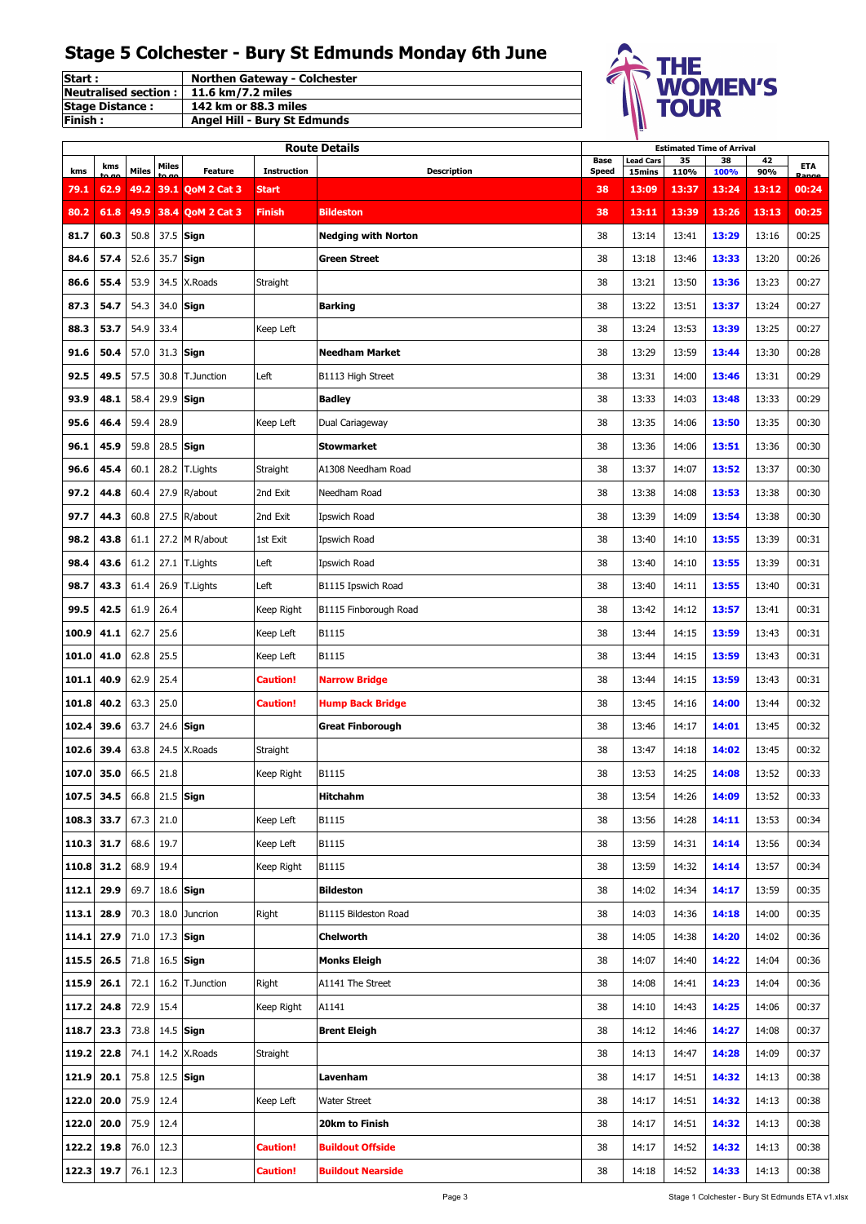| <b>Start:</b>               | <b>Northen Gateway - Colchester</b> |
|-----------------------------|-------------------------------------|
| <b>Neutralised section:</b> | 11.6 km/7.2 miles                   |
| <b>Stage Distance:</b>      | 142 km or 88.3 miles                |
| <b>IFinish:</b>             | Angel Hill - Bury St Edmunds        |



|            |      |       |       |                   |                    | <b>Route Details</b>       |                             |                            |            | <b>Estimated Time of Arrival</b>                 |           |            |
|------------|------|-------|-------|-------------------|--------------------|----------------------------|-----------------------------|----------------------------|------------|--------------------------------------------------|-----------|------------|
| kms        | kms  | Miles | Miles | <b>Feature</b>    | <b>Instruction</b> | <b>Description</b>         | <b>Base</b><br><b>Speed</b> | <b>Lead Cars</b><br>15mins | 35<br>110% | 38<br>100%                                       | 42<br>90% | <b>ETA</b> |
| 79.1       | 62.9 | 49.2  |       | 39.1 QoM 2 Cat 3  | <b>Start</b>       |                            | 38                          | 13:09                      | 13:37      | 13:24                                            | 13:12     | 00:24      |
| 80.2       | 61.8 | 49.9  |       | 38.4 QoM 2 Cat 3  | Finish             | <b>Bildeston</b>           | 38                          | 13:11                      | 13:39      | 13:26                                            | 13:13     | 00:25      |
| 81.7       | 60.3 | 50.8  | 37.5  | Sign              |                    | <b>Nedging with Norton</b> | 38                          | 13:14                      | 13:41      | 13:29                                            | 13:16     | 00:25      |
| 84.6       | 57.4 | 52.6  | 35.7  | Sign              |                    | <b>Green Street</b>        | 38                          | 13:18                      | 13:46      | 13:33                                            | 13:20     | 00:26      |
| 86.6       | 55.4 | 53.9  | 34.5  | X.Roads           | Straight           |                            | 38                          | 13:21                      | 13:50      | 13:36                                            | 13:23     | 00:27      |
| 87.3       | 54.7 | 54.3  | 34.0  | Sign              |                    | <b>Barking</b>             | 38                          | 13:22                      | 13:51      | 13:37                                            | 13:24     | 00:27      |
| 88.3       | 53.7 | 54.9  | 33.4  |                   | Keep Left          |                            | 38                          | 13:24                      | 13:53      | 13:39                                            | 13:25     | 00:27      |
| 91.6       | 50.4 | 57.0  | 31.3  | Sign              |                    | <b>Needham Market</b>      | 38                          | 13:29                      | 13:59      | 13:44                                            | 13:30     | 00:28      |
| 92.5       | 49.5 | 57.5  | 30.8  | <b>T.Junction</b> | Left               | B1113 High Street          | 38                          | 13:31                      | 14:00      | 13:46                                            | 13:31     | 00:29      |
| 93.9       | 48.1 | 58.4  | 29.9  | Sign              |                    | <b>Badley</b>              | 38                          | 13:33                      | 14:03      | 13:48                                            | 13:33     | 00:29      |
| 95.6       | 46.4 | 59.4  | 28.9  |                   |                    | Dual Cariageway            | 38                          | 13:35                      | 14:06      | 13:50                                            | 13:35     | 00:30      |
|            |      |       |       |                   | Keep Left          |                            |                             |                            |            |                                                  |           |            |
| 96.1       | 45.9 | 59.8  | 28.5  | Sign              |                    | <b>Stowmarket</b>          | 38                          | 13:36                      | 14:06      | 13:51                                            | 13:36     | 00:30      |
| 96.6       | 45.4 | 60.1  | 28.2  | T.Lights          | Straight           | A1308 Needham Road         | 38                          | 13:37                      | 14:07      | 13:52                                            | 13:37     | 00:30      |
| 97.2       | 44.8 | 60.4  | 27.9  | R/about           | 2nd Exit           | Needham Road               | 38                          | 13:38                      | 14:08      | 13:53                                            | 13:38     | 00:30      |
| 97.7       | 44.3 | 60.8  | 27.5  | R/about           | 2nd Exit           | Ipswich Road               | 38                          | 13:39                      | 14:09      | 13:54                                            | 13:38     | 00:30      |
| 98.2       | 43.8 | 61.1  | 27.2  | M R/about         | 1st Exit           | Ipswich Road               | 38                          | 13:40                      | 14:10      | 13:55                                            | 13:39     | 00:31      |
| 98.4       | 43.6 | 61.2  |       | 27.1 T.Lights     | Left               | Ipswich Road               | 38                          | 13:40                      | 14:10      | 13:55                                            | 13:39     | 00:31      |
| 98.7       | 43.3 | 61.4  | 26.9  | T.Lights          | Left               | B1115 Ipswich Road         | 38                          | 13:40                      | 14:11      | 13:55                                            | 13:40     | 00:31      |
| 99.5       | 42.5 | 61.9  | 26.4  |                   | Keep Right         | B1115 Finborough Road      | 38                          | 13:42                      | 14:12      | 13:57                                            | 13:41     | 00:31      |
| 100.9      | 41.1 | 62.7  | 25.6  |                   | Keep Left          | B1115                      | 38                          | 13:44                      | 14:15      | 13:59                                            | 13:43     | 00:31      |
| 101.0      | 41.0 | 62.8  | 25.5  |                   | Keep Left          | B1115                      | 38                          | 13:44                      | 14:15      | 13:59                                            | 13:43     | 00:31      |
| 101.1      | 40.9 | 62.9  | 25.4  |                   | <b>Caution!</b>    | <b>Narrow Bridge</b>       | 38                          | 13:44                      | 14:15      | 13:59                                            | 13:43     | 00:31      |
| 101.8      | 40.2 | 63.3  | 25.0  |                   | <b>Caution!</b>    | <b>Hump Back Bridge</b>    | 38                          | 13:45                      | 14:16      | 14:00                                            | 13:44     | 00:32      |
| 102.4      | 39.6 | 63.7  | 24.6  | Sign              |                    | <b>Great Finborough</b>    | 38                          | 13:46                      | 14:17      | 14:01                                            | 13:45     | 00:32      |
| 102.6      | 39.4 | 63.8  | 24.5  | X.Roads           | Straight           |                            | 38                          | 13:47                      | 14:18      | 14:02                                            | 13:45     | 00:32      |
| 107.0      | 35.0 | 66.5  | 21.8  |                   | Keep Right         | B1115                      | 38                          | 13:53                      | 14:25      | 14:08                                            | 13:52     | 00:33      |
| 107.5 34.5 |      | 66.8  |       | $21.5$ Sign       |                    | <b>Hitchahm</b>            | 38                          | 13:54                      | 14:26      | <b>14:09</b>                                     | 13:52     | 00:33      |
| 108.3      | 33.7 | 67.3  | 21.0  |                   | Keep Left          | B1115                      | 38                          | 13:56                      | 14:28      | 14:11                                            | 13:53     | 00:34      |
| 110.3      | 31.7 | 68.6  | 19.7  |                   | Keep Left          | B1115                      | 38                          | 13:59                      | 14:31      | 14:14                                            | 13:56     | 00:34      |
| 110.8      | 31.2 | 68.9  | 19.4  |                   | Keep Right         | B1115                      | 38                          | 13:59                      | 14:32      | 14:14                                            | 13:57     | 00:34      |
| 112.1      | 29.9 | 69.7  |       | 18.6 Sign         |                    | <b>Bildeston</b>           | 38                          | 14:02                      | 14:34      | 14:17                                            | 13:59     | 00:35      |
| 113.1      | 28.9 | 70.3  |       | 18.0 Juncrion     | Right              | B1115 Bildeston Road       | 38                          | 14:03                      | 14:36      | 14:18                                            | 14:00     | 00:35      |
| 114.1      | 27.9 | 71.0  |       | 17.3 Sign         |                    | Chelworth                  | 38                          | 14:05                      | 14:38      | 14:20                                            | 14:02     | 00:36      |
| 115.5      | 26.5 | 71.8  |       | 16.5 Sign         |                    | <b>Monks Eleigh</b>        | 38                          | 14:07                      | 14:40      | 14:22                                            | 14:04     | 00:36      |
| 115.9      | 26.1 | 72.1  | 16.2  | T.Junction        | Right              | A1141 The Street           | 38                          | 14:08                      | 14:41      | 14:23                                            | 14:04     | 00:36      |
| 117.2      | 24.8 | 72.9  | 15.4  |                   | Keep Right         | A1141                      | 38                          | 14:10                      | 14:43      | 14:25                                            | 14:06     | 00:37      |
| 118.7      | 23.3 | 73.8  |       | 14.5 Sign         |                    | <b>Brent Eleigh</b>        | 38                          | 14:12                      | 14:46      | 14:27                                            | 14:08     | 00:37      |
| 119.2      | 22.8 | 74.1  |       | 14.2 X.Roads      | Straight           |                            | 38                          | 14:13                      | 14:47      | 14:28                                            | 14:09     | 00:37      |
| 121.9      | 20.1 | 75.8  |       | $12.5$ Sign       |                    | Lavenham                   | 38                          | 14:17                      | 14:51      | 14:32                                            | 14:13     | 00:38      |
|            |      |       |       |                   |                    |                            |                             |                            |            |                                                  |           |            |
| 122.0      | 20.0 | 75.9  | 12.4  |                   | Keep Left          | <b>Water Street</b>        | 38                          | 14:17                      | 14:51      | 14:32                                            | 14:13     | 00:38      |
| 122.0      | 20.0 | 75.9  | 12.4  |                   |                    | 20km to Finish             | 38                          | 14:17                      | 14:51      | 14:32                                            | 14:13     | 00:38      |
| 122.2      | 19.8 | 76.0  | 12.3  |                   | <b>Caution!</b>    | <b>Buildout Offside</b>    | 38                          | 14:17                      | 14:52      | 14:32                                            | 14:13     | 00:38      |
| 122.3 19.7 |      | 76.1  | 12.3  |                   | <b>Caution!</b>    | <b>Buildout Nearside</b>   | 38                          | 14:18                      | 14:52      | 14:33                                            | 14:13     | 00:38      |
|            |      |       |       |                   |                    | Page 3                     |                             |                            |            | Stage 1 Colchester - Bury St Edmunds ETA v1.xlsx |           |            |